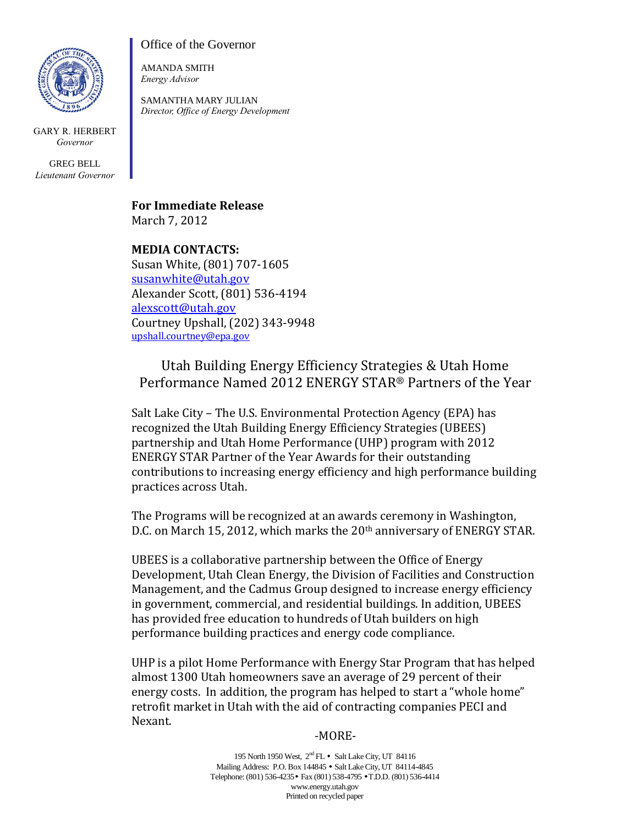

GARY R. HERBERT *Governor*

GREG BELL *Lieutenant Governor* Office of the Governor

AMANDA SMITH *Energy Advisor*

SAMANTHA MARY JULIAN *Director, Office of Energy Development*

**For Immediate Release** March 7, 2012

**MEDIA CONTACTS:** Susan White, (801) 707-1605 susanwhite@utah.gov Alexander Scott, (801) 536-4194 alexscott@utah.gov Courtney Upshall, (202) 343-9948 upshall.courtney@epa.gov

## Utah Building Energy Efficiency Strategies & Utah Home Performance Named 2012 ENERGY STAR® Partners of the Year

Salt Lake City – The U.S. Environmental Protection Agency (EPA) has recognized the Utah Building Energy Efficiency Strategies (UBEES) partnership and Utah Home Performance (UHP) program with 2012 ENERGY STAR Partner of the Year Awards for their outstanding contributions to increasing energy efficiency and high performance building practices across Utah.

The Programs will be recognized at an awards ceremony in Washington, D.C. on March 15, 2012, which marks the 20<sup>th</sup> anniversary of ENERGY STAR.

UBEES is a collaborative partnership between the Office of Energy Development, Utah Clean Energy, the Division of Facilities and Construction Management, and the Cadmus Group designed to increase energy efficiency in government, commercial, and residential buildings. In addition, UBEES has provided free education to hundreds of Utah builders on high performance building practices and energy code compliance.

UHP is a pilot Home Performance with Energy Star Program that has helped almost 1300 Utah homeowners save an average of 29 percent of their energy costs. In addition, the program has helped to start a "whole home" retrofit market in Utah with the aid of contracting companies PECI and Nexant.

## -MORE-

195 North 1950 West,  $2^{nd}$  FL • Salt Lake City, UT 84116 Mailing Address: P.O. Box 144845 • Salt Lake City, UT 84114-4845 Telephone: (801) 536-4235• Fax (801) 538-4795 •T.D.D. (801) 536-4414 www.energy.utah.gov Printed on recycled paper